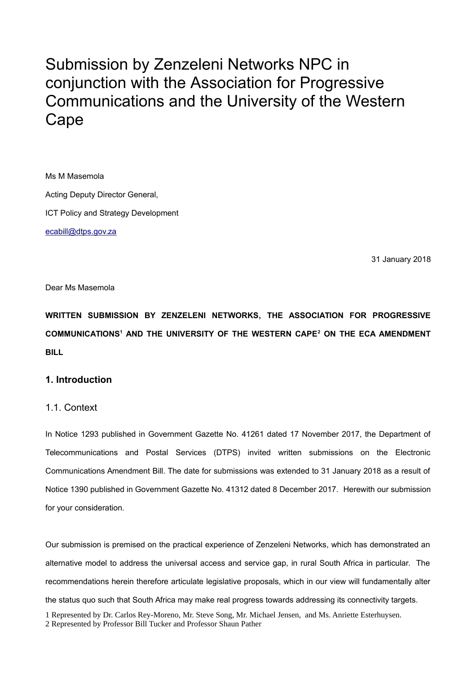# Submission by Zenzeleni Networks NPC in conjunction with the Association for Progressive Communications and the University of the Western Cape

Ms M Masemola Acting Deputy Director General, ICT Policy and Strategy Development [ecabill@dtps.gov.za](mailto:ecabill@dtps.gov.za)

31 January 2018

#### Dear Ms Masemola

**WRITTEN SUBMISSION BY ZENZELENI NETWORKS, THE ASSOCIATION FOR PROGRESSIVE COMMUNICATIONS[1](#page-0-0) AND THE UNIVERSITY OF THE WESTERN CAPE[2](#page-0-1) ON THE ECA AMENDMENT BILL** 

# **1. Introduction**

## 1.1. Context

In Notice 1293 published in Government Gazette No. 41261 dated 17 November 2017, the Department of Telecommunications and Postal Services (DTPS) invited written submissions on the Electronic Communications Amendment Bill. The date for submissions was extended to 31 January 2018 as a result of Notice 1390 published in Government Gazette No. 41312 dated 8 December 2017. Herewith our submission for your consideration.

<span id="page-0-1"></span><span id="page-0-0"></span>Our submission is premised on the practical experience of Zenzeleni Networks, which has demonstrated an alternative model to address the universal access and service gap, in rural South Africa in particular. The recommendations herein therefore articulate legislative proposals, which in our view will fundamentally alter the status quo such that South Africa may make real progress towards addressing its connectivity targets. 1 Represented by Dr. Carlos Rey-Moreno, Mr. Steve Song, Mr. Michael Jensen, and Ms. Anriette Esterhuysen. 2 Represented by Professor Bill Tucker and Professor Shaun Pather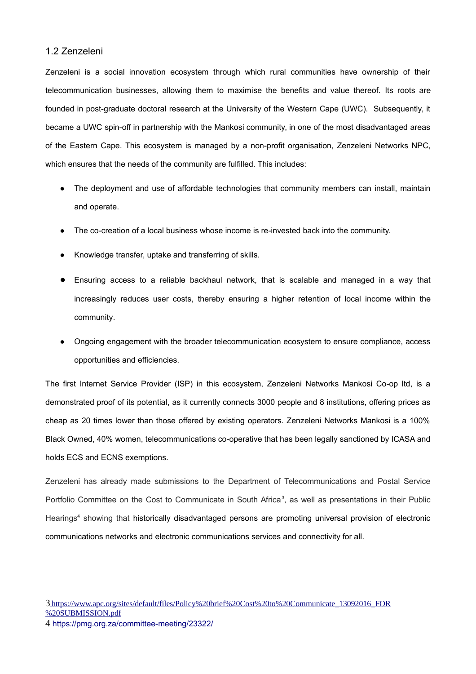## 1.2 Zenzeleni

Zenzeleni is a social innovation ecosystem through which rural communities have ownership of their telecommunication businesses, allowing them to maximise the benefits and value thereof. Its roots are founded in post-graduate doctoral research at the University of the Western Cape (UWC). Subsequently, it became a UWC spin-off in partnership with the Mankosi community, in one of the most disadvantaged areas of the Eastern Cape. This ecosystem is managed by a non-profit organisation, Zenzeleni Networks NPC, which ensures that the needs of the community are fulfilled. This includes:

- The deployment and use of affordable technologies that community members can install, maintain and operate.
- The co-creation of a local business whose income is re-invested back into the community.
- Knowledge transfer, uptake and transferring of skills.
- Ensuring access to a reliable backhaul network, that is scalable and managed in a way that increasingly reduces user costs, thereby ensuring a higher retention of local income within the community.
- Ongoing engagement with the broader telecommunication ecosystem to ensure compliance, access opportunities and efficiencies.

The first Internet Service Provider (ISP) in this ecosystem, Zenzeleni Networks Mankosi Co-op ltd, is a demonstrated proof of its potential, as it currently connects 3000 people and 8 institutions, offering prices as cheap as 20 times lower than those offered by existing operators. Zenzeleni Networks Mankosi is a 100% Black Owned, 40% women, telecommunications co-operative that has been legally sanctioned by ICASA and holds ECS and ECNS exemptions.

Zenzeleni has already made submissions to the Department of Telecommunications and Postal Service Portfolio Committee on the Cost to Communicate in South Africa<sup>[3](#page-1-0)</sup>, as well as presentations in their Public Hearings<sup>[4](#page-1-1)</sup> showing that historically disadvantaged persons are promoting universal provision of electronic communications networks and electronic communications services and connectivity for all.

<span id="page-1-1"></span><span id="page-1-0"></span><sup>4</sup> <https://pmg.org.za/committee-meeting/23322/>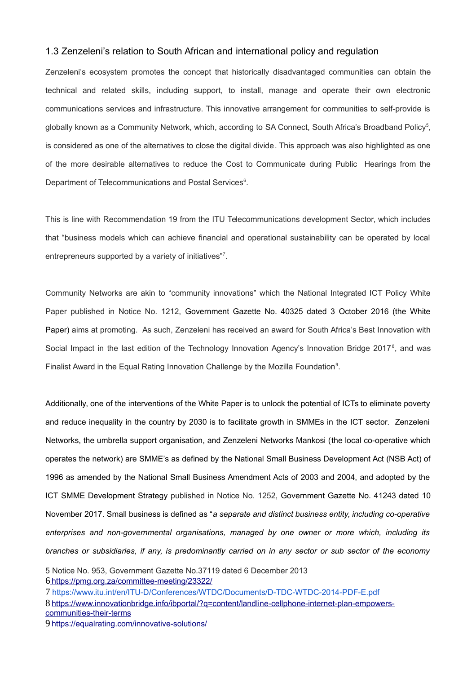#### 1.3 Zenzeleni's relation to South African and international policy and regulation

Zenzeleni's ecosystem promotes the concept that historically disadvantaged communities can obtain the technical and related skills, including support, to install, manage and operate their own electronic communications services and infrastructure. This innovative arrangement for communities to self-provide is globally known as a Community Network, which, according to SA Connect, South Africa's Broadband Policy<sup>[5](#page-2-0)</sup>, is considered as one of the alternatives to close the digital divide. This approach was also highlighted as one of the more desirable alternatives to reduce the Cost to Communicate during Public Hearings from the Department of Telecommunications and Postal Services<sup>[6](#page-2-1)</sup>.

This is line with Recommendation 19 from the ITU Telecommunications development Sector, which includes that "business models which can achieve financial and operational sustainability can be operated by local entrepreneurs supported by a variety of initiatives"<sup>[7](#page-2-2)</sup>.

Community Networks are akin to "community innovations" which the National Integrated ICT Policy White Paper published in Notice No. 1212, Government Gazette No. 40325 dated 3 October 2016 (the White Paper) aims at promoting. As such, Zenzeleni has received an award for South Africa's Best Innovation with Social Impact in the last edition of the Technology Innovation Agency's Innovation Bridge 2017<sup>[8](#page-2-3)</sup>, and was Finalist Award in the Equal Rating Innovation Challenge by the Mozilla Foundation $9$ .

Additionally, one of the interventions of the White Paper is to unlock the potential of ICTs to eliminate poverty and reduce inequality in the country by 2030 is to facilitate growth in SMMEs in the ICT sector. Zenzeleni Networks, the umbrella support organisation, and Zenzeleni Networks Mankosi (the local co-operative which operates the network) are SMME's as defined by the National Small Business Development Act (NSB Act) of 1996 as amended by the National Small Business Amendment Acts of 2003 and 2004, and adopted by the ICT SMME Development Strategy published in Notice No. 1252, Government Gazette No. 41243 dated 10 November 2017. Small business is defined as "*a separate and distinct business entity, including co-operative enterprises and non-governmental organisations, managed by one owner or more which, including its branches or subsidiaries, if any, is predominantly carried on in any sector or sub sector of the economy*

<span id="page-2-2"></span>7 <https://www.itu.int/en/ITU-D/Conferences/WTDC/Documents/D-TDC-WTDC-2014-PDF-E.pdf>

<span id="page-2-3"></span>8[https://www.innovationbridge.info/ibportal/?q=content/landline-cellphone-internet-plan-empowers](https://www.innovationbridge.info/ibportal/?q=content/landline-cellphone-internet-plan-empowers-communities-their-terms)[communities-their-terms](https://www.innovationbridge.info/ibportal/?q=content/landline-cellphone-internet-plan-empowers-communities-their-terms)

<span id="page-2-1"></span><span id="page-2-0"></span><sup>5</sup> Notice No. 953, Government Gazette No.37119 dated 6 December 2013 6<https://pmg.org.za/committee-meeting/23322/>

<span id="page-2-4"></span><sup>9</sup><https://equalrating.com/innovative-solutions/>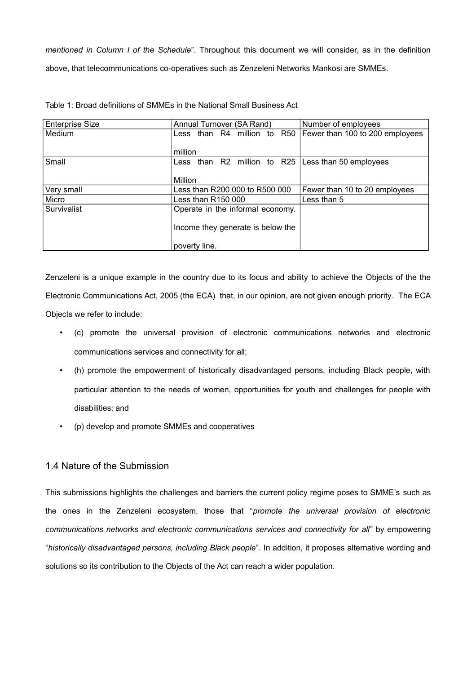*mentioned in Column I of the Schedule*". Throughout this document we will consider, as in the definition above, that telecommunications co-operatives such as Zenzeleni Networks Mankosi are SMMEs.

| <b>Enterprise Size</b> | Annual Turnover (SA Rand)                            | Number of employees             |
|------------------------|------------------------------------------------------|---------------------------------|
| Medium                 | Less than R4 million to R50                          | Fewer than 100 to 200 employees |
|                        |                                                      |                                 |
|                        | million                                              |                                 |
| Small                  | Less than R2 million to R25   Less than 50 employees |                                 |
|                        |                                                      |                                 |
|                        | Million                                              |                                 |
| Very small             | Less than R200 000 to R500 000                       | Fewer than 10 to 20 employees   |
| Micro                  | Less than $R150000$                                  | Less than 5                     |
| Survivalist            | Operate in the informal economy.                     |                                 |
|                        |                                                      |                                 |
|                        | Income they generate is below the                    |                                 |
|                        |                                                      |                                 |
|                        | poverty line.                                        |                                 |

Table 1: Broad definitions of SMMEs in the National Small Business Act

Zenzeleni is a unique example in the country due to its focus and ability to achieve the Objects of the the Electronic Communications Act, 2005 (the ECA) that, in our opinion, are not given enough priority. The ECA Objects we refer to include:

- (c) promote the universal provision of electronic communications networks and electronic communications services and connectivity for all;
- (h) promote the empowerment of historically disadvantaged persons, including Black people, with particular attention to the needs of women, opportunities for youth and challenges for people with disabilities; and
- (p) develop and promote SMMEs and cooperatives

# 1.4 Nature of the Submission

This submissions highlights the challenges and barriers the current policy regime poses to SMME's such as the ones in the Zenzeleni ecosystem, those that "*promote the universal provision of electronic communications networks and electronic communications services and connectivity for all*" by empowering "*historically disadvantaged persons, including Black people*". In addition, it proposes alternative wording and solutions so its contribution to the Objects of the Act can reach a wider population.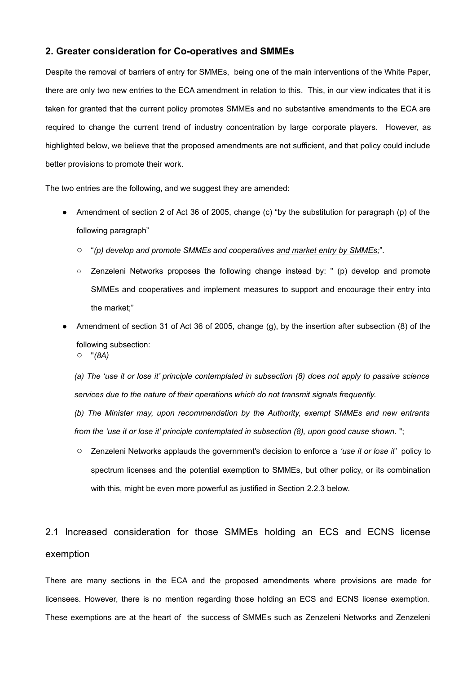## **2. Greater consideration for Co-operatives and SMMEs**

Despite the removal of barriers of entry for SMMEs, being one of the main interventions of the White Paper, there are only two new entries to the ECA amendment in relation to this. This, in our view indicates that it is taken for granted that the current policy promotes SMMEs and no substantive amendments to the ECA are required to change the current trend of industry concentration by large corporate players. However, as highlighted below, we believe that the proposed amendments are not sufficient, and that policy could include better provisions to promote their work.

The two entries are the following, and we suggest they are amended:

- Amendment of section 2 of Act 36 of 2005, change (c) "by the substitution for paragraph (p) of the following paragraph"
	- "*(p) develop and promote SMMEs and cooperatives and market entry by SMMEs;*".
	- Zenzeleni Networks proposes the following change instead by: " (p) develop and promote SMMEs and cooperatives and implement measures to support and encourage their entry into the market;"
- Amendment of section 31 of Act 36 of 2005, change (g), by the insertion after subsection (8) of the following subsection:
	- "*(8A)*

*(a) The 'use it or lose it' principle contemplated in subsection (8) does not apply to passive science services due to the nature of their operations which do not transmit signals frequently.* 

*(b) The Minister may, upon recommendation by the Authority, exempt SMMEs and new entrants from the 'use it or lose it' principle contemplated in subsection (8), upon good cause shown.* ";

○ Zenzeleni Networks applauds the government's decision to enforce a *'use it or lose it'* policy to spectrum licenses and the potential exemption to SMMEs, but other policy, or its combination with this, might be even more powerful as justified in Section 2.2.3 below.

# 2.1 Increased consideration for those SMMEs holding an ECS and ECNS license exemption

There are many sections in the ECA and the proposed amendments where provisions are made for licensees. However, there is no mention regarding those holding an ECS and ECNS license exemption. These exemptions are at the heart of the success of SMMEs such as Zenzeleni Networks and Zenzeleni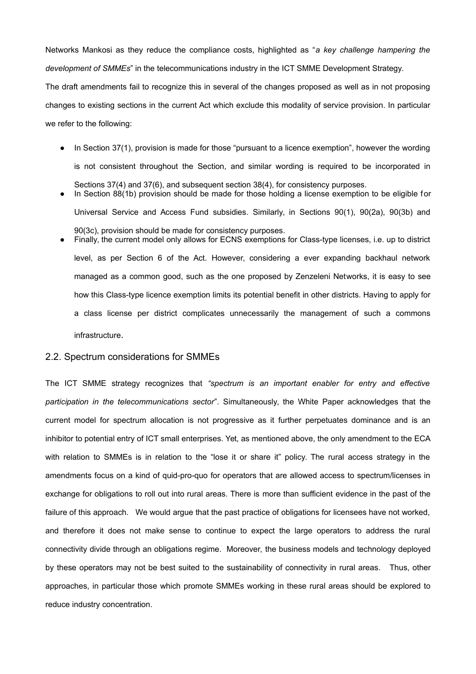Networks Mankosi as they reduce the compliance costs, highlighted as "*a key challenge hampering the development of SMMEs*" in the telecommunications industry in the ICT SMME Development Strategy.

The draft amendments fail to recognize this in several of the changes proposed as well as in not proposing changes to existing sections in the current Act which exclude this modality of service provision. In particular we refer to the following:

- In Section 37(1), provision is made for those "pursuant to a licence exemption", however the wording is not consistent throughout the Section, and similar wording is required to be incorporated in Sections 37(4) and 37(6), and subsequent section 38(4), for consistency purposes.
- In Section 88(1b) provision should be made for those holding a license exemption to be eligible for Universal Service and Access Fund subsidies. Similarly, in Sections 90(1), 90(2a), 90(3b) and 90(3c), provision should be made for consistency purposes.
- Finally, the current model only allows for ECNS exemptions for Class-type licenses, i.e. up to district level, as per Section 6 of the Act. However, considering a ever expanding backhaul network managed as a common good, such as the one proposed by Zenzeleni Networks, it is easy to see how this Class-type licence exemption limits its potential benefit in other districts. Having to apply for a class license per district complicates unnecessarily the management of such a commons infrastructure.

## 2.2. Spectrum considerations for SMMEs

The ICT SMME strategy recognizes that *"spectrum is an important enabler for entry and effective participation in the telecommunications sector*". Simultaneously, the White Paper acknowledges that the current model for spectrum allocation is not progressive as it further perpetuates dominance and is an inhibitor to potential entry of ICT small enterprises. Yet, as mentioned above, the only amendment to the ECA with relation to SMMEs is in relation to the "lose it or share it" policy. The rural access strategy in the amendments focus on a kind of quid-pro-quo for operators that are allowed access to spectrum/licenses in exchange for obligations to roll out into rural areas. There is more than sufficient evidence in the past of the failure of this approach. We would argue that the past practice of obligations for licensees have not worked, and therefore it does not make sense to continue to expect the large operators to address the rural connectivity divide through an obligations regime. Moreover, the business models and technology deployed by these operators may not be best suited to the sustainability of connectivity in rural areas. Thus, other approaches, in particular those which promote SMMEs working in these rural areas should be explored to reduce industry concentration.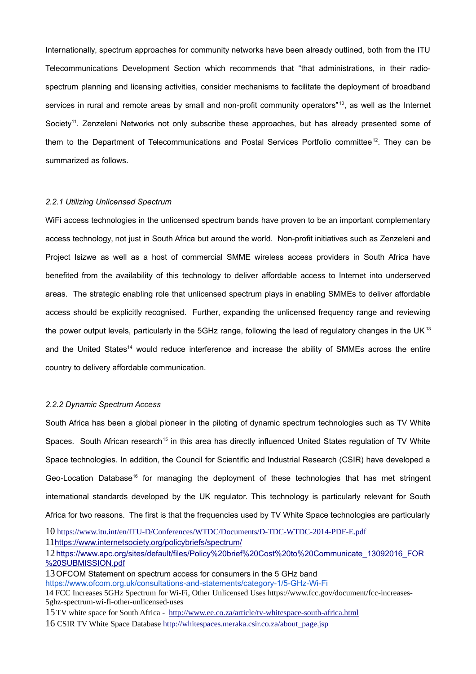Internationally, spectrum approaches for community networks have been already outlined, both from the ITU Telecommunications Development Section which recommends that "that administrations, in their radiospectrum planning and licensing activities, consider mechanisms to facilitate the deployment of broadband services in rural and remote areas by small and non-profit community operators"<sup>[10](#page-6-0)</sup>, as well as the Internet Society<sup>[11](#page-6-1)</sup>. Zenzeleni Networks not only subscribe these approaches, but has already presented some of them to the Department of Telecommunications and Postal Services Portfolio committee<sup>[12](#page-6-2)</sup>. They can be summarized as follows.

#### *2.2.1 Utilizing Unlicensed Spectrum*

WiFi access technologies in the unlicensed spectrum bands have proven to be an important complementary access technology, not just in South Africa but around the world. Non-profit initiatives such as Zenzeleni and Project Isizwe as well as a host of commercial SMME wireless access providers in South Africa have benefited from the availability of this technology to deliver affordable access to Internet into underserved areas. The strategic enabling role that unlicensed spectrum plays in enabling SMMEs to deliver affordable access should be explicitly recognised. Further, expanding the unlicensed frequency range and reviewing the power output levels, particularly in the 5GHz range, following the lead of regulatory changes in the UK<sup>[13](#page-6-3)</sup> and the United States<sup>[14](#page-6-4)</sup> would reduce interference and increase the ability of SMMEs across the entire country to delivery affordable communication.

#### *2.2.2 Dynamic Spectrum Access*

South Africa has been a global pioneer in the piloting of dynamic spectrum technologies such as TV White Spaces. South African research<sup>[15](#page-6-5)</sup> in this area has directly influenced United States regulation of TV White Space technologies. In addition, the Council for Scientific and Industrial Research (CSIR) have developed a Geo-Location Database<sup>[16](#page-6-6)</sup> for managing the deployment of these technologies that has met stringent international standards developed by the UK regulator. This technology is particularly relevant for South Africa for two reasons. The first is that the frequencies used by TV White Space technologies are particularly

<span id="page-6-0"></span>10 <https://www.itu.int/en/ITU-D/Conferences/WTDC/Documents/D-TDC-WTDC-2014-PDF-E.pdf>

<span id="page-6-1"></span>11 [https://www.internetsoci](https://www.internetsoci/)[ety.org/policybriefs/spectrum/](https://www.internetsociety.org/policybriefs/spectrum/)

<span id="page-6-2"></span>12[https://www.apc.org/sites/default/files/Policy%20brief%20Cost%20to%20Communicate\\_13092016\\_FOR](https://www.apc.org/sites/default/files/Policy%20brief%20Cost%20to%20Communicate_13092016_FOR%20SUBMISSION.pdf) [%20SUBMISSION.pdf](https://www.apc.org/sites/default/files/Policy%20brief%20Cost%20to%20Communicate_13092016_FOR%20SUBMISSION.pdf)

<span id="page-6-3"></span>13OFCOM Statement on spectrum access for consumers in the 5 GHz band

<https://www.ofcom.org.uk/consultations-and-statements/category-1/5-GHz-Wi-Fi>

<span id="page-6-4"></span>14 FCC Increases 5GHz Spectrum for Wi-Fi, Other Unlicensed Uses https://www.fcc.gov/document/fcc-increases-5ghz-spectrum-wi-fi-other-unlicensed-uses

- <span id="page-6-5"></span>15TV white space for South Africa - <http://www.ee.co.za/article/tv-whitespace-south-africa.html>
- <span id="page-6-6"></span>16 CSIR TV White Space Database [http://whitespaces.meraka.csir.co.za/about\\_page.jsp](http://whitespaces.meraka.csir.co.za/about_page.jsp)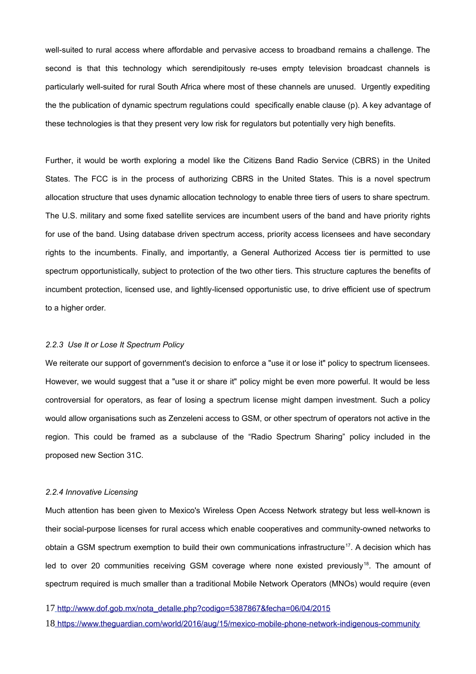well-suited to rural access where affordable and pervasive access to broadband remains a challenge. The second is that this technology which serendipitously re-uses empty television broadcast channels is particularly well-suited for rural South Africa where most of these channels are unused. Urgently expediting the the publication of dynamic spectrum regulations could specifically enable clause (p). A key advantage of these technologies is that they present very low risk for regulators but potentially very high benefits.

Further, it would be worth exploring a model like the Citizens Band Radio Service (CBRS) in the United States. The FCC is in the process of authorizing CBRS in the United States. This is a novel spectrum allocation structure that uses dynamic allocation technology to enable three tiers of users to share spectrum. The U.S. military and some fixed satellite services are incumbent users of the band and have priority rights for use of the band. Using database driven spectrum access, priority access licensees and have secondary rights to the incumbents. Finally, and importantly, a General Authorized Access tier is permitted to use spectrum opportunistically, subject to protection of the two other tiers. This structure captures the benefits of incumbent protection, licensed use, and lightly-licensed opportunistic use, to drive efficient use of spectrum to a higher order.

#### *2.2.3 Use It or Lose It Spectrum Policy*

We reiterate our support of government's decision to enforce a "use it or lose it" policy to spectrum licensees. However, we would suggest that a "use it or share it" policy might be even more powerful. It would be less controversial for operators, as fear of losing a spectrum license might dampen investment. Such a policy would allow organisations such as Zenzeleni access to GSM, or other spectrum of operators not active in the region. This could be framed as a subclause of the "Radio Spectrum Sharing" policy included in the proposed new Section 31C.

#### *2.2.4 Innovative Licensing*

Much attention has been given to Mexico's Wireless Open Access Network strategy but less well-known is their social-purpose licenses for rural access which enable cooperatives and community-owned networks to obtain a GSM spectrum exemption to build their own communications infrastructure<sup>[17](#page-7-0)</sup>. A decision which has led to over 20 communities receiving GSM coverage where none existed previously<sup>[18](#page-7-1)</sup>. The amount of spectrum required is much smaller than a traditional Mobile Network Operators (MNOs) would require (even

<span id="page-7-0"></span>17 [http://www.dof.gob.mx/nota\\_detalle.php?codigo=5387867&fecha=06/04/2015](http://www.dof.gob.mx/nota_detalle.php?codigo=5387867&fecha=06/04/2015)

<span id="page-7-1"></span>18 <https://www.theguardian.com/world/2016/aug/15/mexico-mobile-phone-network-indigenous-community>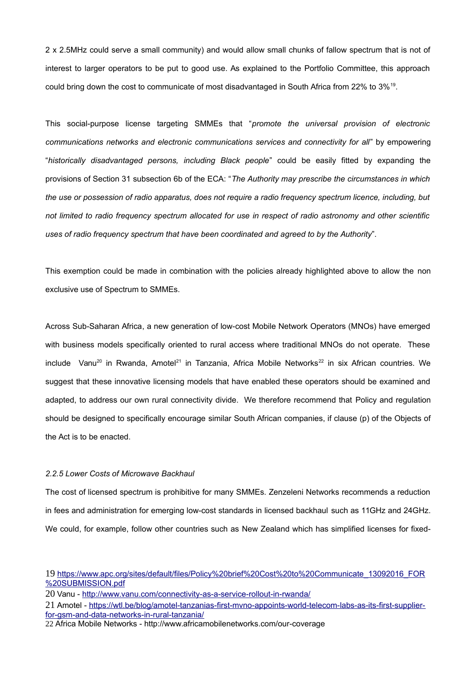2 x 2.5MHz could serve a small community) and would allow small chunks of fallow spectrum that is not of interest to larger operators to be put to good use. As explained to the Portfolio Committee, this approach could bring down the cost to communicate of most disadvantaged in South Africa from 22% to 3%[19](#page-8-0) .

This social-purpose license targeting SMMEs that "*promote the universal provision of electronic communications networks and electronic communications services and connectivity for all*" by empowering "*historically disadvantaged persons, including Black people*" could be easily fitted by expanding the provisions of Section 31 subsection 6b of the ECA: "*The Authority may prescribe the circumstances in which the use or possession of radio apparatus, does not require a radio frequency spectrum licence, including, but not limited to radio frequency spectrum allocated for use in respect of radio astronomy and other scientific uses of radio frequency spectrum that have been coordinated and agreed to by the Authority*".

This exemption could be made in combination with the policies already highlighted above to allow the non exclusive use of Spectrum to SMMEs.

Across Sub-Saharan Africa, a new generation of low-cost Mobile Network Operators (MNOs) have emerged with business models specifically oriented to rural access where traditional MNOs do not operate. These  $include$  Vanu<sup>[20](#page-8-1)</sup> in Rwanda, Amotel<sup>[21](#page-8-2)</sup> in Tanzania, Africa Mobile Networks<sup>[22](#page-8-3)</sup> in six African countries. We suggest that these innovative licensing models that have enabled these operators should be examined and adapted, to address our own rural connectivity divide. We therefore recommend that Policy and regulation should be designed to specifically encourage similar South African companies, if clause (p) of the Objects of the Act is to be enacted.

#### *2.2.5 Lower Costs of Microwave Backhaul*

The cost of licensed spectrum is prohibitive for many SMMEs. Zenzeleni Networks recommends a reduction in fees and administration for emerging low-cost standards in licensed backhaul such as 11GHz and 24GHz. We could, for example, follow other countries such as New Zealand which has simplified licenses for fixed-

<span id="page-8-0"></span><sup>19</sup> [https://www.apc.org/sites/default/files/Policy%20brief%20Cost%20to%20Communicate\\_13092016\\_FOR](https://www.apc.org/sites/default/files/Policy%20brief%20Cost%20to%20Communicate_13092016_FOR%20SUBMISSION.pdf) [%20SUBMISSION.pdf](https://www.apc.org/sites/default/files/Policy%20brief%20Cost%20to%20Communicate_13092016_FOR%20SUBMISSION.pdf)

<span id="page-8-1"></span><sup>20</sup> Vanu -<http://www.vanu.com/connectivity-as-a-service-rollout-in-rwanda/>

<span id="page-8-2"></span><sup>21</sup> Amotel - [https://wtl.be/blog/amotel-tanzanias-first-mvno-appoints-world-telecom-labs-as-its-first-supplier](https://wtl.be/blog/amotel-tanzanias-first-mvno-appoints-world-telecom-labs-as-its-first-supplier-for-gsm-and-data-networks-in-rural-tanzania/)[for-gsm-and-data-networks-in-rural-tanzania/](https://wtl.be/blog/amotel-tanzanias-first-mvno-appoints-world-telecom-labs-as-its-first-supplier-for-gsm-and-data-networks-in-rural-tanzania/)

<span id="page-8-3"></span><sup>22</sup> Africa Mobile Networks - http://www.africamobilenetworks.com/our-coverage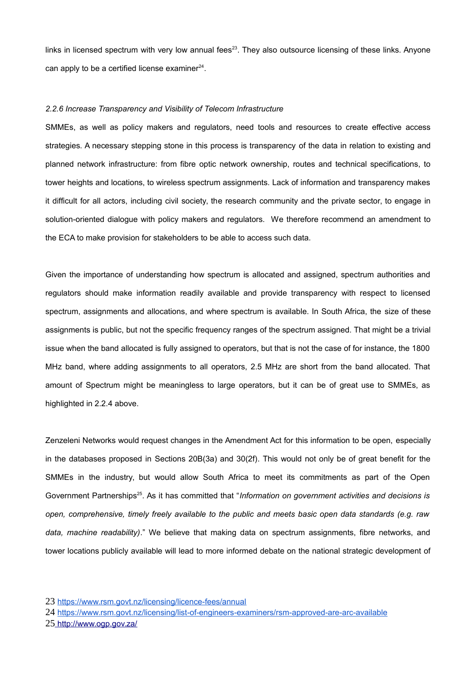links in licensed spectrum with very low annual fees $^{23}$  $^{23}$  $^{23}$ . They also outsource licensing of these links. Anyone can apply to be a certified license examiner $24$ .

#### *2.2.6 Increase Transparency and Visibility of Telecom Infrastructure*

SMMEs, as well as policy makers and regulators, need tools and resources to create effective access strategies. A necessary stepping stone in this process is transparency of the data in relation to existing and planned network infrastructure: from fibre optic network ownership, routes and technical specifications, to tower heights and locations, to wireless spectrum assignments. Lack of information and transparency makes it difficult for all actors, including civil society, the research community and the private sector, to engage in solution-oriented dialogue with policy makers and regulators. We therefore recommend an amendment to the ECA to make provision for stakeholders to be able to access such data.

Given the importance of understanding how spectrum is allocated and assigned, spectrum authorities and regulators should make information readily available and provide transparency with respect to licensed spectrum, assignments and allocations, and where spectrum is available. In South Africa, the size of these assignments is public, but not the specific frequency ranges of the spectrum assigned. That might be a trivial issue when the band allocated is fully assigned to operators, but that is not the case of for instance, the 1800 MHz band, where adding assignments to all operators, 2.5 MHz are short from the band allocated. That amount of Spectrum might be meaningless to large operators, but it can be of great use to SMMEs, as highlighted in 2.2.4 above.

Zenzeleni Networks would request changes in the Amendment Act for this information to be open, especially in the databases proposed in Sections 20B(3a) and 30(2f). This would not only be of great benefit for the SMMEs in the industry, but would allow South Africa to meet its commitments as part of the Open Government Partnerships<sup>[25](#page-9-2)</sup>. As it has committed that "*Information on government activities and decisions is open, comprehensive, timely freely available to the public and meets basic open data standards (e.g. raw data, machine readability)*." We believe that making data on spectrum assignments, fibre networks, and tower locations publicly available will lead to more informed debate on the national strategic development of

<span id="page-9-0"></span><sup>23</sup> <https://www.rsm.govt.nz/licensing/licence-fees/annual>

<span id="page-9-2"></span><span id="page-9-1"></span><sup>24</sup> <https://www.rsm.govt.nz/licensing/list-of-engineers-examiners/rsm-approved-are-arc-available> 25 <http://www.ogp.gov.za/>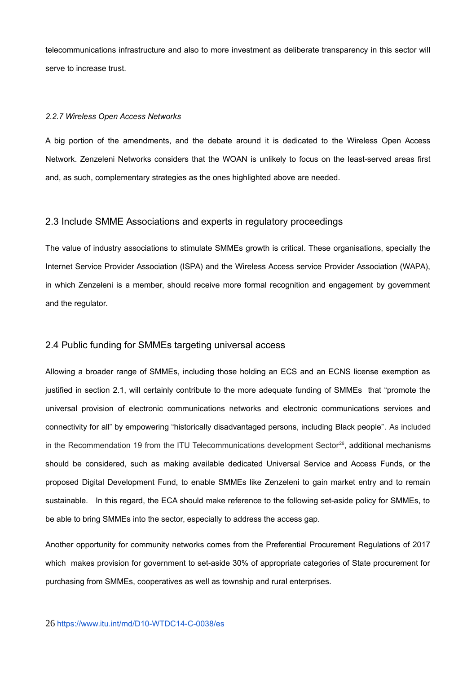telecommunications infrastructure and also to more investment as deliberate transparency in this sector will serve to increase trust.

#### *2.2.7 Wireless Open Access Networks*

A big portion of the amendments, and the debate around it is dedicated to the Wireless Open Access Network. Zenzeleni Networks considers that the WOAN is unlikely to focus on the least-served areas first and, as such, complementary strategies as the ones highlighted above are needed.

### 2.3 Include SMME Associations and experts in regulatory proceedings

The value of industry associations to stimulate SMMEs growth is critical. These organisations, specially the Internet Service Provider Association (ISPA) and the Wireless Access service Provider Association (WAPA), in which Zenzeleni is a member, should receive more formal recognition and engagement by government and the regulator.

# 2.4 Public funding for SMMEs targeting universal access

Allowing a broader range of SMMEs, including those holding an ECS and an ECNS license exemption as justified in section 2.1, will certainly contribute to the more adequate funding of SMMEs that "promote the universal provision of electronic communications networks and electronic communications services and connectivity for all" by empowering "historically disadvantaged persons, including Black people". As included in the Recommendation 19 from the ITU Telecommunications development Sector<sup>[26](#page-10-0)</sup>, additional mechanisms should be considered, such as making available dedicated Universal Service and Access Funds, or the proposed Digital Development Fund, to enable SMMEs like Zenzeleni to gain market entry and to remain sustainable. In this regard, the ECA should make reference to the following set-aside policy for SMMEs, to be able to bring SMMEs into the sector, especially to address the access gap.

<span id="page-10-0"></span>Another opportunity for community networks comes from the Preferential Procurement Regulations of 2017 which makes provision for government to set-aside 30% of appropriate categories of State procurement for purchasing from SMMEs, cooperatives as well as township and rural enterprises.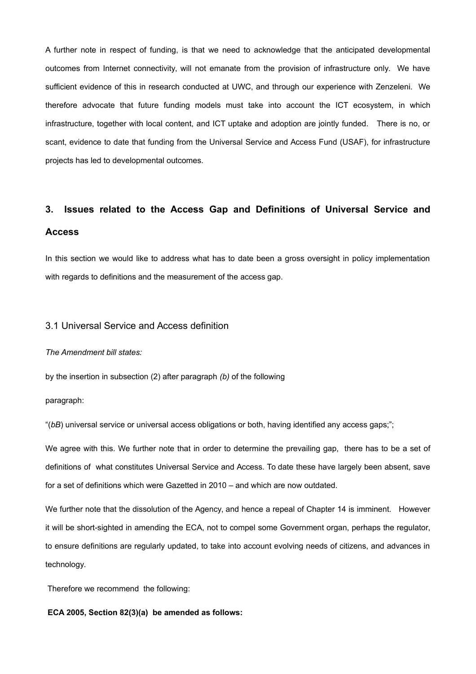A further note in respect of funding, is that we need to acknowledge that the anticipated developmental outcomes from Internet connectivity, will not emanate from the provision of infrastructure only. We have sufficient evidence of this in research conducted at UWC, and through our experience with Zenzeleni. We therefore advocate that future funding models must take into account the ICT ecosystem, in which infrastructure, together with local content, and ICT uptake and adoption are jointly funded. There is no, or scant, evidence to date that funding from the Universal Service and Access Fund (USAF), for infrastructure projects has led to developmental outcomes.

# **3. Issues related to the Access Gap and Definitions of Universal Service and Access**

In this section we would like to address what has to date been a gross oversight in policy implementation with regards to definitions and the measurement of the access gap.

## 3.1 Universal Service and Access definition

#### *The Amendment bill states:*

by the insertion in subsection (2) after paragraph *(b)* of the following

paragraph:

"(*bB*) universal service or universal access obligations or both, having identified any access gaps;";

We agree with this. We further note that in order to determine the prevailing gap, there has to be a set of definitions of what constitutes Universal Service and Access. To date these have largely been absent, save for a set of definitions which were Gazetted in 2010 – and which are now outdated.

We further note that the dissolution of the Agency, and hence a repeal of Chapter 14 is imminent. However it will be short-sighted in amending the ECA, not to compel some Government organ, perhaps the regulator, to ensure definitions are regularly updated, to take into account evolving needs of citizens, and advances in technology.

Therefore we recommend the following:

#### **ECA 2005, Section 82(3)(a) be amended as follows:**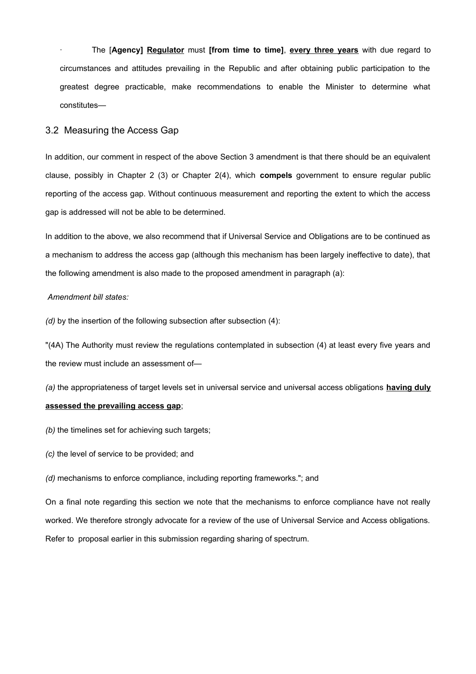· The [**Agency] Regulator** must **[from time to time]**, **every three years** with due regard to circumstances and attitudes prevailing in the Republic and after obtaining public participation to the greatest degree practicable, make recommendations to enable the Minister to determine what constitutes—

#### 3.2 Measuring the Access Gap

In addition, our comment in respect of the above Section 3 amendment is that there should be an equivalent clause, possibly in Chapter 2 (3) or Chapter 2(4), which **compels** government to ensure regular public reporting of the access gap. Without continuous measurement and reporting the extent to which the access gap is addressed will not be able to be determined.

In addition to the above, we also recommend that if Universal Service and Obligations are to be continued as a mechanism to address the access gap (although this mechanism has been largely ineffective to date), that the following amendment is also made to the proposed amendment in paragraph (a):

#### *Amendment bill states:*

*(d)* by the insertion of the following subsection after subsection (4):

"(4A) The Authority must review the regulations contemplated in subsection (4) at least every five years and the review must include an assessment of—

*(a)* the appropriateness of target levels set in universal service and universal access obligations **having duly assessed the prevailing access gap**;

- *(b)* the timelines set for achieving such targets;
- *(c)* the level of service to be provided; and
- *(d)* mechanisms to enforce compliance, including reporting frameworks."; and

On a final note regarding this section we note that the mechanisms to enforce compliance have not really worked. We therefore strongly advocate for a review of the use of Universal Service and Access obligations. Refer to proposal earlier in this submission regarding sharing of spectrum.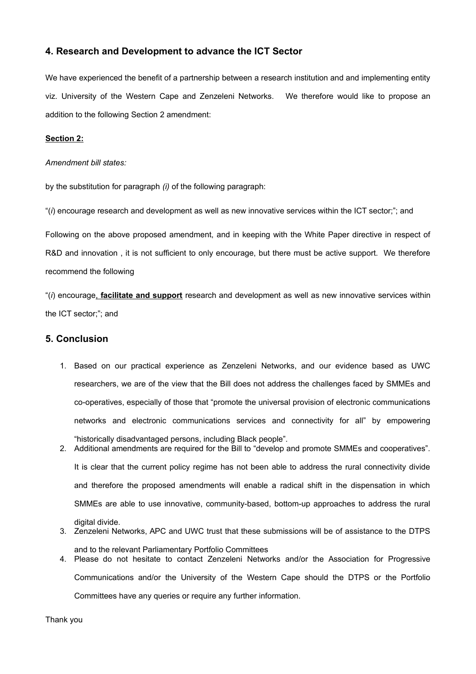# **4. Research and Development to advance the ICT Sector**

We have experienced the benefit of a partnership between a research institution and and implementing entity viz. University of the Western Cape and Zenzeleni Networks. We therefore would like to propose an addition to the following Section 2 amendment:

### **Section 2:**

*Amendment bill states:*

by the substitution for paragraph *(i)* of the following paragraph:

"(*i*) encourage research and development as well as new innovative services within the ICT sector;"; and

Following on the above proposed amendment, and in keeping with the White Paper directive in respect of R&D and innovation , it is not sufficient to only encourage, but there must be active support. We therefore recommend the following

"(*i*) encourage, **facilitate and support** research and development as well as new innovative services within the ICT sector;"; and

## **5. Conclusion**

- 1. Based on our practical experience as Zenzeleni Networks, and our evidence based as UWC researchers, we are of the view that the Bill does not address the challenges faced by SMMEs and co-operatives, especially of those that "promote the universal provision of electronic communications networks and electronic communications services and connectivity for all" by empowering "historically disadvantaged persons, including Black people".
- 2. Additional amendments are required for the Bill to "develop and promote SMMEs and cooperatives". It is clear that the current policy regime has not been able to address the rural connectivity divide and therefore the proposed amendments will enable a radical shift in the dispensation in which SMMEs are able to use innovative, community-based, bottom-up approaches to address the rural digital divide. 3. Zenzeleni Networks, APC and UWC trust that these submissions will be of assistance to the DTPS
- and to the relevant Parliamentary Portfolio Committees 4. Please do not hesitate to contact Zenzeleni Networks and/or the Association for Progressive

Communications and/or the University of the Western Cape should the DTPS or the Portfolio Committees have any queries or require any further information.